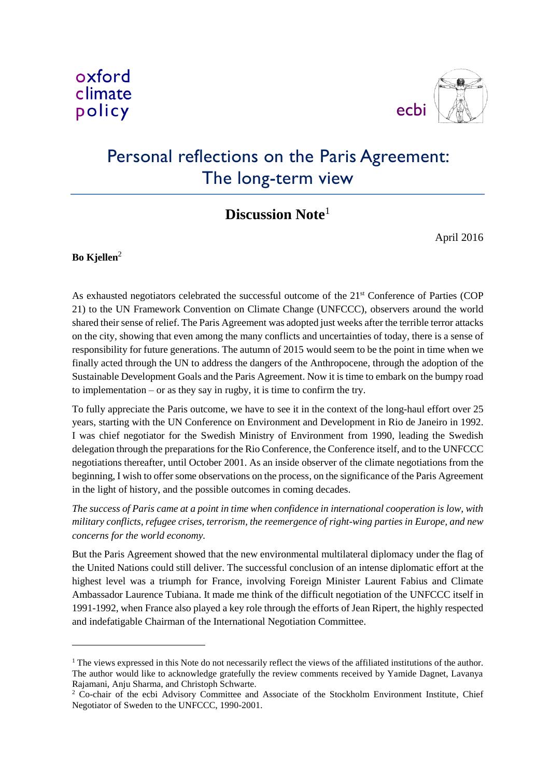

# Personal reflections on the Paris Agreement: The long-term view

# **Discussion Note**<sup>1</sup>

April 2016

#### **Bo Kjellen**<sup>2</sup>

-

As exhausted negotiators celebrated the successful outcome of the 21<sup>st</sup> Conference of Parties (COP 21) to the UN Framework Convention on Climate Change (UNFCCC), observers around the world shared their sense of relief. The Paris Agreement was adopted just weeks after the terrible terror attacks on the city, showing that even among the many conflicts and uncertainties of today, there is a sense of responsibility for future generations. The autumn of 2015 would seem to be the point in time when we finally acted through the UN to address the dangers of the Anthropocene, through the adoption of the Sustainable Development Goals and the Paris Agreement. Now it is time to embark on the bumpy road to implementation – or as they say in rugby, it is time to confirm the try.

To fully appreciate the Paris outcome, we have to see it in the context of the long-haul effort over 25 years, starting with the UN Conference on Environment and Development in Rio de Janeiro in 1992. I was chief negotiator for the Swedish Ministry of Environment from 1990, leading the Swedish delegation through the preparations for the Rio Conference, the Conference itself, and to the UNFCCC negotiations thereafter, until October 2001. As an inside observer of the climate negotiations from the beginning, I wish to offer some observations on the process, on the significance of the Paris Agreement in the light of history, and the possible outcomes in coming decades.

*The success of Paris came at a point in time when confidence in international cooperation is low, with military conflicts, refugee crises, terrorism, the reemergence of right-wing parties in Europe, and new concerns for the world economy.*

But the Paris Agreement showed that the new environmental multilateral diplomacy under the flag of the United Nations could still deliver. The successful conclusion of an intense diplomatic effort at the highest level was a triumph for France, involving Foreign Minister Laurent Fabius and Climate Ambassador Laurence Tubiana. It made me think of the difficult negotiation of the UNFCCC itself in 1991-1992, when France also played a key role through the efforts of Jean Ripert, the highly respected and indefatigable Chairman of the International Negotiation Committee.

<sup>1</sup> The views expressed in this Note do not necessarily reflect the views of the affiliated institutions of the author*.* The author would like to acknowledge gratefully the review comments received by Yamide Dagnet, Lavanya Rajamani, Anju Sharma, and Christoph Schwarte.

<sup>&</sup>lt;sup>2</sup> Co-chair of the ecbi Advisory Committee and Associate of the Stockholm Environment Institute, Chief Negotiator of Sweden to the UNFCCC, 1990-2001.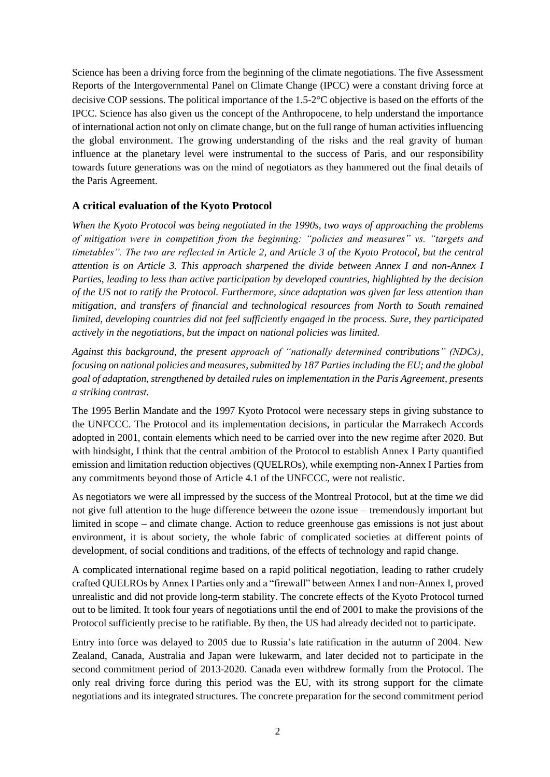Science has been a driving force from the beginning of the climate negotiations. The five Assessment Reports of the Intergovernmental Panel on Climate Change (IPCC) were a constant driving force at decisive COP sessions. The political importance of the  $1.5{\text -}2^{\circ}C$  objective is based on the efforts of the IPCC. Science has also given us the concept of the Anthropocene, to help understand the importance of international action not only on climate change, but on the full range of human activities influencing the global environment. The growing understanding of the risks and the real gravity of human influence at the planetary level were instrumental to the success of Paris, and our responsibility towards future generations was on the mind of negotiators as they hammered out the final details of the Paris Agreement.

#### **A critical evaluation of the Kyoto Protocol**

*When the Kyoto Protocol was being negotiated in the 1990s, two ways of approaching the problems of mitigation were in competition from the beginning: "policies and measures" vs. "targets and timetables". The two are reflected in Article 2, and Article 3 of the Kyoto Protocol, but the central attention is on Article 3. This approach sharpened the divide between Annex I and non-Annex I Parties, leading to less than active participation by developed countries, highlighted by the decision of the US not to ratify the Protocol. Furthermore, since adaptation was given far less attention than mitigation, and transfers of financial and technological resources from North to South remained limited, developing countries did not feel sufficiently engaged in the process. Sure, they participated actively in the negotiations, but the impact on national policies was limited.*

*Against this background, the present approach of "nationally determined contributions" (NDCs), focusing on national policies and measures, submitted by 187 Parties including the EU; and the global goal of adaptation, strengthened by detailed rules on implementation in the Paris Agreement, presents a striking contrast.*

The 1995 Berlin Mandate and the 1997 Kyoto Protocol were necessary steps in giving substance to the UNFCCC. The Protocol and its implementation decisions, in particular the Marrakech Accords adopted in 2001, contain elements which need to be carried over into the new regime after 2020. But with hindsight, I think that the central ambition of the Protocol to establish Annex I Party quantified emission and limitation reduction objectives (QUELROs), while exempting non-Annex I Parties from any commitments beyond those of Article 4.1 of the UNFCCC, were not realistic.

As negotiators we were all impressed by the success of the Montreal Protocol, but at the time we did not give full attention to the huge difference between the ozone issue – tremendously important but limited in scope – and climate change. Action to reduce greenhouse gas emissions is not just about environment, it is about society, the whole fabric of complicated societies at different points of development, of social conditions and traditions, of the effects of technology and rapid change.

A complicated international regime based on a rapid political negotiation, leading to rather crudely crafted QUELROs by Annex I Parties only and a "firewall" between Annex I and non-Annex I, proved unrealistic and did not provide long-term stability. The concrete effects of the Kyoto Protocol turned out to be limited. It took four years of negotiations until the end of 2001 to make the provisions of the Protocol sufficiently precise to be ratifiable. By then, the US had already decided not to participate.

Entry into force was delayed to 2005 due to Russia's late ratification in the autumn of 2004. New Zealand, Canada, Australia and Japan were lukewarm, and later decided not to participate in the second commitment period of 2013-2020. Canada even withdrew formally from the Protocol. The only real driving force during this period was the EU, with its strong support for the climate negotiations and its integrated structures. The concrete preparation for the second commitment period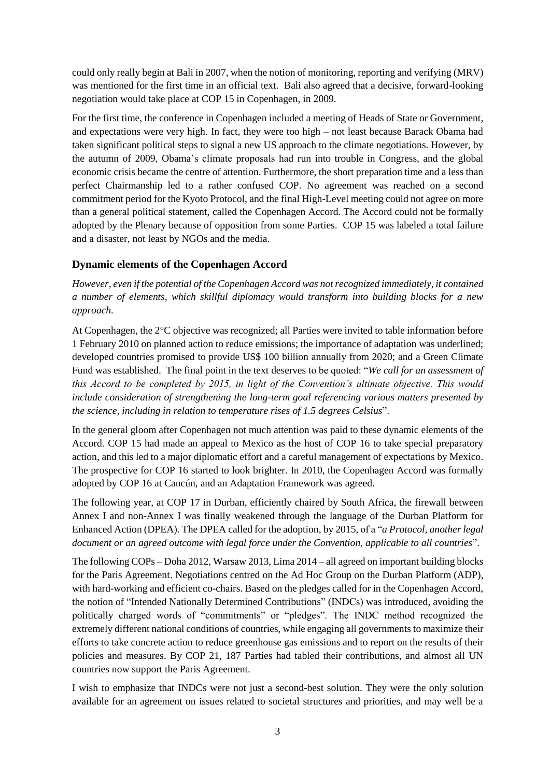could only really begin at Bali in 2007, when the notion of monitoring, reporting and verifying (MRV) was mentioned for the first time in an official text. Bali also agreed that a decisive, forward-looking negotiation would take place at COP 15 in Copenhagen, in 2009.

For the first time, the conference in Copenhagen included a meeting of Heads of State or Government, and expectations were very high. In fact, they were too high – not least because Barack Obama had taken significant political steps to signal a new US approach to the climate negotiations. However, by the autumn of 2009, Obama's climate proposals had run into trouble in Congress, and the global economic crisis became the centre of attention. Furthermore, the short preparation time and a less than perfect Chairmanship led to a rather confused COP. No agreement was reached on a second commitment period for the Kyoto Protocol, and the final High-Level meeting could not agree on more than a general political statement, called the Copenhagen Accord. The Accord could not be formally adopted by the Plenary because of opposition from some Parties. COP 15 was labeled a total failure and a disaster, not least by NGOs and the media.

## **Dynamic elements of the Copenhagen Accord**

*However, even if the potential of the Copenhagen Accord was not recognized immediately, it contained a number of elements, which skillful diplomacy would transform into building blocks for a new approach.*

At Copenhagen, the 2°C objective was recognized; all Parties were invited to table information before 1 February 2010 on planned action to reduce emissions; the importance of adaptation was underlined; developed countries promised to provide US\$ 100 billion annually from 2020; and a Green Climate Fund was established. The final point in the text deserves to be quoted: "*We call for an assessment of this Accord to be completed by 2015, in light of the Convention's ultimate objective. This would include consideration of strengthening the long-term goal referencing various matters presented by the science, including in relation to temperature rises of 1.5 degrees Celsius*".

In the general gloom after Copenhagen not much attention was paid to these dynamic elements of the Accord. COP 15 had made an appeal to Mexico as the host of COP 16 to take special preparatory action, and this led to a major diplomatic effort and a careful management of expectations by Mexico. The prospective for COP 16 started to look brighter. In 2010, the Copenhagen Accord was formally adopted by COP 16 at Cancún, and an Adaptation Framework was agreed.

The following year, at COP 17 in Durban, efficiently chaired by South Africa, the firewall between Annex I and non-Annex I was finally weakened through the language of the Durban Platform for Enhanced Action (DPEA). The DPEA called for the adoption, by 2015, of a "*a Protocol, another legal document or an agreed outcome with legal force under the Convention, applicable to all countries*".

The following COPs – Doha 2012, Warsaw 2013, Lima 2014 – all agreed on important building blocks for the Paris Agreement. Negotiations centred on the Ad Hoc Group on the Durban Platform (ADP), with hard-working and efficient co-chairs. Based on the pledges called for in the Copenhagen Accord, the notion of "Intended Nationally Determined Contributions" (INDCs) was introduced, avoiding the politically charged words of "commitments" or "pledges". The INDC method recognized the extremely different national conditions of countries, while engaging all governments to maximize their efforts to take concrete action to reduce greenhouse gas emissions and to report on the results of their policies and measures. By COP 21, 187 Parties had tabled their contributions, and almost all UN countries now support the Paris Agreement.

I wish to emphasize that INDCs were not just a second-best solution. They were the only solution available for an agreement on issues related to societal structures and priorities, and may well be a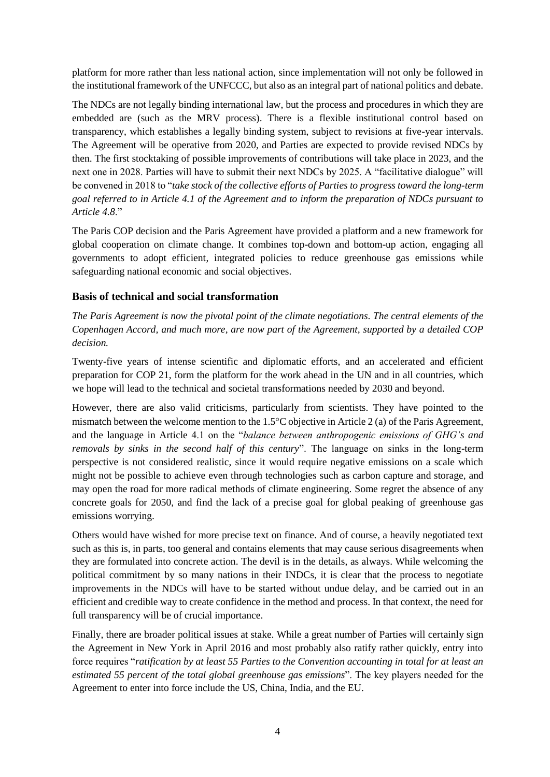platform for more rather than less national action, since implementation will not only be followed in the institutional framework of the UNFCCC, but also as an integral part of national politics and debate.

The NDCs are not legally binding international law, but the process and procedures in which they are embedded are (such as the MRV process). There is a flexible institutional control based on transparency, which establishes a legally binding system, subject to revisions at five-year intervals. The Agreement will be operative from 2020, and Parties are expected to provide revised NDCs by then. The first stocktaking of possible improvements of contributions will take place in 2023, and the next one in 2028. Parties will have to submit their next NDCs by 2025. A "facilitative dialogue" will be convened in 2018 to "*take stock of the collective efforts of Parties to progress toward the long-term goal referred to in Article 4.1 of the Agreement and to inform the preparation of NDCs pursuant to Article 4.8*."

The Paris COP decision and the Paris Agreement have provided a platform and a new framework for global cooperation on climate change. It combines top-down and bottom-up action, engaging all governments to adopt efficient, integrated policies to reduce greenhouse gas emissions while safeguarding national economic and social objectives.

### **Basis of technical and social transformation**

*The Paris Agreement is now the pivotal point of the climate negotiations. The central elements of the Copenhagen Accord, and much more, are now part of the Agreement, supported by a detailed COP decision.*

Twenty-five years of intense scientific and diplomatic efforts, and an accelerated and efficient preparation for COP 21, form the platform for the work ahead in the UN and in all countries, which we hope will lead to the technical and societal transformations needed by 2030 and beyond.

However, there are also valid criticisms, particularly from scientists. They have pointed to the mismatch between the welcome mention to the  $1.5^{\circ}$ C objective in Article 2 (a) of the Paris Agreement, and the language in Article 4.1 on the "*balance between anthropogenic emissions of GHG's and removals by sinks in the second half of this century*". The language on sinks in the long-term perspective is not considered realistic, since it would require negative emissions on a scale which might not be possible to achieve even through technologies such as carbon capture and storage, and may open the road for more radical methods of climate engineering. Some regret the absence of any concrete goals for 2050, and find the lack of a precise goal for global peaking of greenhouse gas emissions worrying.

Others would have wished for more precise text on finance. And of course, a heavily negotiated text such as this is, in parts, too general and contains elements that may cause serious disagreements when they are formulated into concrete action. The devil is in the details, as always. While welcoming the political commitment by so many nations in their INDCs, it is clear that the process to negotiate improvements in the NDCs will have to be started without undue delay, and be carried out in an efficient and credible way to create confidence in the method and process. In that context, the need for full transparency will be of crucial importance.

Finally, there are broader political issues at stake. While a great number of Parties will certainly sign the Agreement in New York in April 2016 and most probably also ratify rather quickly, entry into force requires "*ratification by at least 55 Parties to the Convention accounting in total for at least an estimated 55 percent of the total global greenhouse gas emissions*". The key players needed for the Agreement to enter into force include the US, China, India, and the EU.